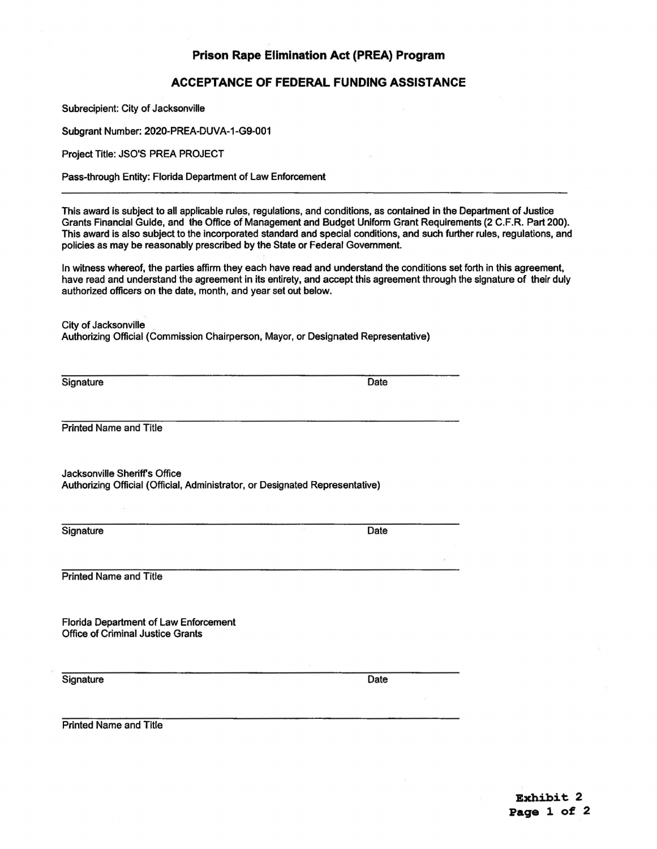## **Prison Rape Elimination Act (PREA) Program**

## **ACCEPTANCE OF FEDERAL FUNDING ASSISTANCE**

Subrecipient: City of Jacksonville

Subgrant Number: 2020-PREA-DUVA-1-G9-001

Project Title: JSO'S PREA PROJECT

Pass-through Entity: Florida Department of Law Enforcement

This award is subject to all applicable rules, regulations, and conditions, as contained in the Department of Justice Grants Financial Guide, and the Office of Management and Budget Uniform Grant Requirements (2 C.F.R. Part 200). This award is also subject to the incorporated standard and special conditions, and such further rules, regulations, and policies as may be reasonably prescribed by the State or Federal Government.

In witness whereof, the parties affirm they each have read and understand the conditions set forth in this agreement, have read and understand the agreement in its entirety, and accept this agreement through the signature of their duly authorized officers on the date, month, and year set out below.

City of Jacksonville

Authorizing Official (Commission Chairperson, Mayor, or Designated Representative)

Signature Date

Printed Name and Title

Jacksonville Sheriff's Office Authorizing Official (Official, Administrator, or Designated Representative)

Signature Date

Printed Name and Title

Florida Department of Law Enforcement Office of Criminal Justice Grants

Signature Date

Printed Name and Title

**Exhibit 2 Page 1 of 2**